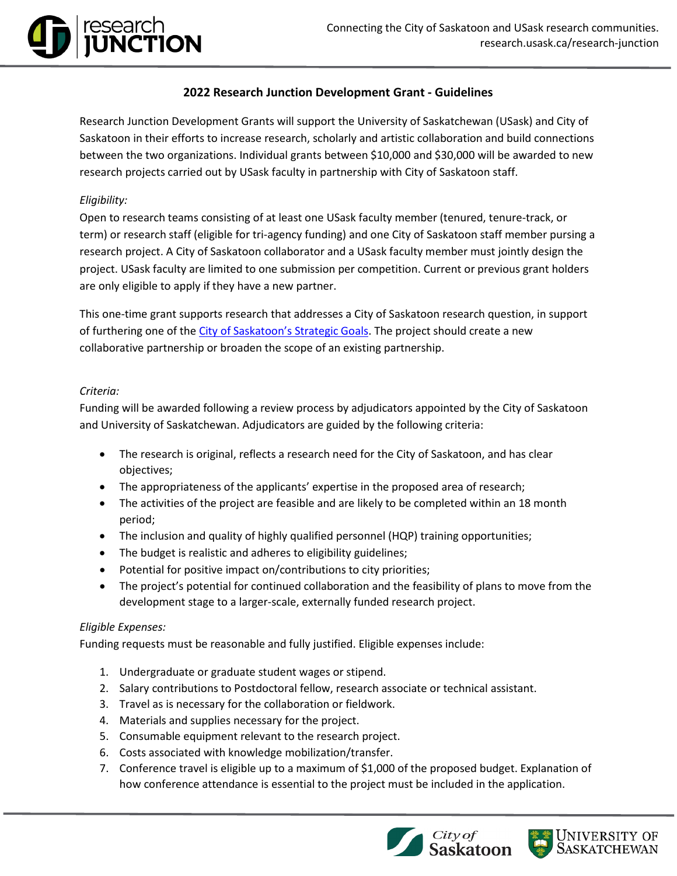# **2022 Research Junction Development Grant - Guidelines**

Research Junction Development Grants will support the University of Saskatchewan (USask) and City of Saskatoon in their efforts to increase research, scholarly and artistic collaboration and build connections between the two organizations. Individual grants between \$10,000 and \$30,000 will be awarded to new research projects carried out by USask faculty in partnership with City of Saskatoon staff.

# *Eligibility:*

research<br>**JUNCTION** 

Open to research teams consisting of at least one USask faculty member (tenured, tenure-track, or term) or research staff (eligible for tri-agency funding) and one City of Saskatoon staff member pursing a research project. A City of Saskatoon collaborator and a USask faculty member must jointly design the project. USask faculty are limited to one submission per competition. Current or previous grant holders are only eligible to apply if they have a new partner.

This one-time grant supports research that addresses a City of Saskatoon research question, in support of furthering one of the [City of Saskatoon's Strategic Goals.](https://www.saskatoon.ca/business-development/planning/strategic-plan) The project should create a new collaborative partnership or broaden the scope of an existing partnership.

## *Criteria:*

Funding will be awarded following a review process by adjudicators appointed by the City of Saskatoon and University of Saskatchewan. Adjudicators are guided by the following criteria:

- The research is original, reflects a research need for the City of Saskatoon, and has clear objectives;
- The appropriateness of the applicants' expertise in the proposed area of research;
- The activities of the project are feasible and are likely to be completed within an 18 month period;
- The inclusion and quality of highly qualified personnel (HQP) training opportunities;
- The budget is realistic and adheres to eligibility guidelines;
- Potential for positive impact on/contributions to city priorities;
- The project's potential for continued collaboration and the feasibility of plans to move from the development stage to a larger-scale, externally funded research project.

## *Eligible Expenses:*

Funding requests must be reasonable and fully justified. Eligible expenses include:

- 1. Undergraduate or graduate student wages or stipend.
- 2. Salary contributions to Postdoctoral fellow, research associate or technical assistant.
- 3. Travel as is necessary for the collaboration or fieldwork.
- 4. Materials and supplies necessary for the project.
- 5. Consumable equipment relevant to the research project.
- 6. Costs associated with knowledge mobilization/transfer.
- 7. Conference travel is eligible up to a maximum of \$1,000 of the proposed budget. Explanation of how conference attendance is essential to the project must be included in the application.